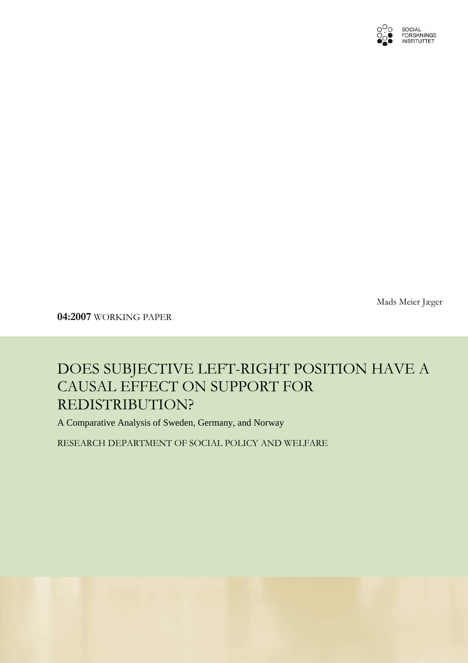

Mads Meier Jæger

**04:2007** WORKING PAPER

## DOES SUBJECTIVE LEFT-RIGHT POSITION HAVE A CAUSAL EFFECT ON SUPPORT FOR REDISTRIBUTION?

A Comparative Analysis of Sweden, Germany, and Norway

RESEARCH DEPARTMENT OF SOCIAL POLICY AND WELFARE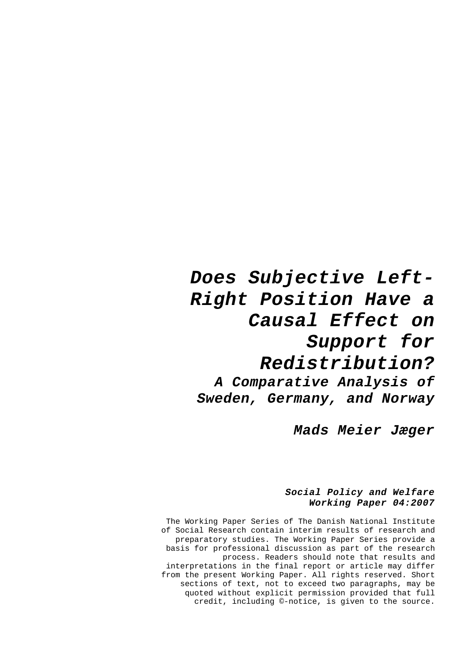# *Does Subjective Left-Right Position Have a Causal Effect on Support for Redistribution? A Comparative Analysis of Sweden, Germany, and Norway*

*Mads Meier Jæger* 

#### *Social Policy and Welfare Working Paper 04:2007*

The Working Paper Series of The Danish National Institute of Social Research contain interim results of research and preparatory studies. The Working Paper Series provide a basis for professional discussion as part of the research process. Readers should note that results and interpretations in the final report or article may differ from the present Working Paper. All rights reserved. Short sections of text, not to exceed two paragraphs, may be quoted without explicit permission provided that full credit, including ©-notice, is given to the source.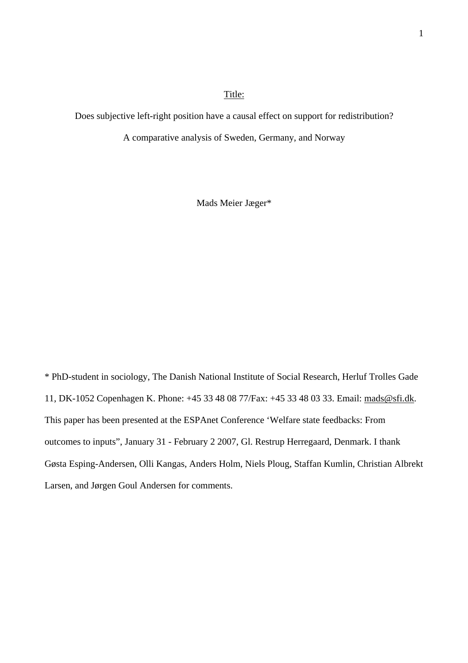#### Title:

Does subjective left-right position have a causal effect on support for redistribution?

A comparative analysis of Sweden, Germany, and Norway

Mads Meier Jæger\*

\* PhD-student in sociology, The Danish National Institute of Social Research, Herluf Trolles Gade 11, DK-1052 Copenhagen K. Phone: +45 33 48 08 77/Fax: +45 33 48 03 33. Email: [mads@sfi.dk.](mailto:mads@sfi.dk) This paper has been presented at the ESPAnet Conference 'Welfare state feedbacks: From outcomes to inputs", January 31 - February 2 2007, Gl. Restrup Herregaard, Denmark. I thank Gøsta Esping-Andersen, Olli Kangas, Anders Holm, Niels Ploug, Staffan Kumlin, Christian Albrekt Larsen, and Jørgen Goul Andersen for comments.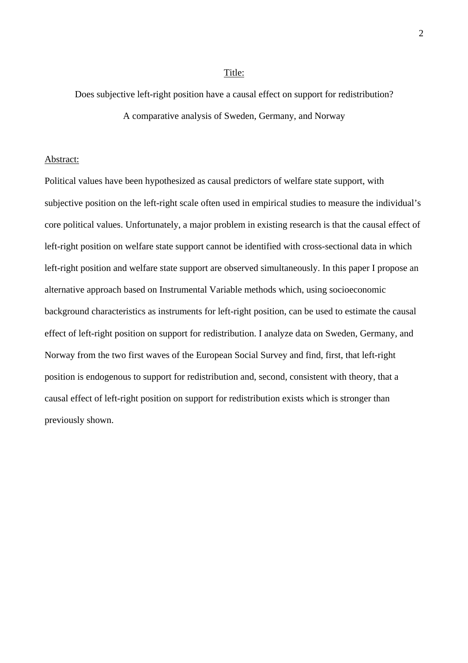#### Title:

Does subjective left-right position have a causal effect on support for redistribution? A comparative analysis of Sweden, Germany, and Norway

#### Abstract:

Political values have been hypothesized as causal predictors of welfare state support, with subjective position on the left-right scale often used in empirical studies to measure the individual's core political values. Unfortunately, a major problem in existing research is that the causal effect of left-right position on welfare state support cannot be identified with cross-sectional data in which left-right position and welfare state support are observed simultaneously. In this paper I propose an alternative approach based on Instrumental Variable methods which, using socioeconomic background characteristics as instruments for left-right position, can be used to estimate the causal effect of left-right position on support for redistribution. I analyze data on Sweden, Germany, and Norway from the two first waves of the European Social Survey and find, first, that left-right position is endogenous to support for redistribution and, second, consistent with theory, that a causal effect of left-right position on support for redistribution exists which is stronger than previously shown.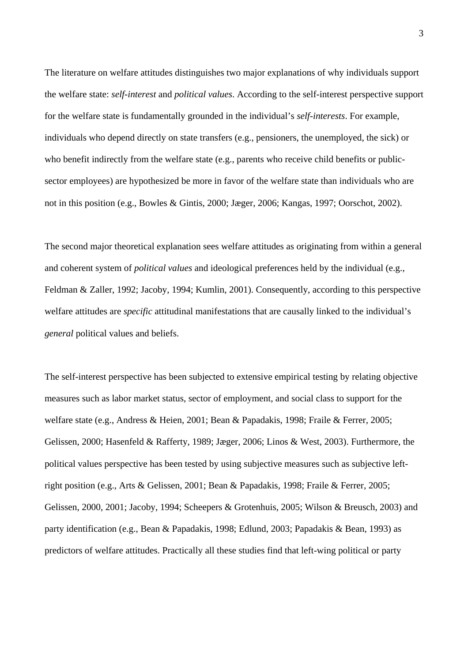The literature on welfare attitudes distinguishes two major explanations of why individuals support the welfare state: *self-interest* and *political values*. According to the self-interest perspective support for the welfare state is fundamentally grounded in the individual's *self-interests*. For example, individuals who depend directly on state transfers (e.g., pensioners, the unemployed, the sick) or who benefit indirectly from the welfare state (e.g., parents who receive child benefits or publicsector employees) are hypothesized be more in favor of the welfare state than individuals who are not in this position (e.g., Bowles & Gintis, 2000; Jæger, 2006; Kangas, 1997; Oorschot, 2002).

The second major theoretical explanation sees welfare attitudes as originating from within a general and coherent system of *political values* and ideological preferences held by the individual (e.g., Feldman & Zaller, 1992; Jacoby, 1994; Kumlin, 2001). Consequently, according to this perspective welfare attitudes are *specific* attitudinal manifestations that are causally linked to the individual's *general* political values and beliefs.

The self-interest perspective has been subjected to extensive empirical testing by relating objective measures such as labor market status, sector of employment, and social class to support for the welfare state (e.g., Andress & Heien, 2001; Bean & Papadakis, 1998; Fraile & Ferrer, 2005; Gelissen, 2000; Hasenfeld & Rafferty, 1989; Jæger, 2006; Linos & West, 2003). Furthermore, the political values perspective has been tested by using subjective measures such as subjective leftright position (e.g., Arts & Gelissen, 2001; Bean & Papadakis, 1998; Fraile & Ferrer, 2005; Gelissen, 2000, 2001; Jacoby, 1994; Scheepers & Grotenhuis, 2005; Wilson & Breusch, 2003) and party identification (e.g., Bean & Papadakis, 1998; Edlund, 2003; Papadakis & Bean, 1993) as predictors of welfare attitudes. Practically all these studies find that left-wing political or party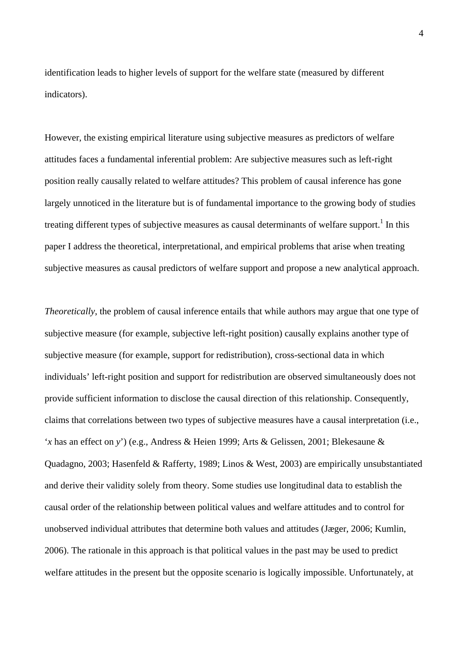identification leads to higher levels of support for the welfare state (measured by different indicators).

However, the existing empirical literature using subjective measures as predictors of welfare attitudes faces a fundamental inferential problem: Are subjective measures such as left-right position really causally related to welfare attitudes? This problem of causal inference has gone largely unnoticed in the literature but is of fundamental importance to the growing body of studies treating different types of subjective measures as causal determinants of welfare support.<sup>[1](#page-39-0)</sup> In this paper I address the theoretical, interpretational, and empirical problems that arise when treating subjective measures as causal predictors of welfare support and propose a new analytical approach.

*Theoretically*, the problem of causal inference entails that while authors may argue that one type of subjective measure (for example, subjective left-right position) causally explains another type of subjective measure (for example, support for redistribution), cross-sectional data in which individuals' left-right position and support for redistribution are observed simultaneously does not provide sufficient information to disclose the causal direction of this relationship. Consequently, claims that correlations between two types of subjective measures have a causal interpretation (i.e., '*x* has an effect on *y*') (e.g., Andress & Heien 1999; Arts & Gelissen, 2001; Blekesaune & Quadagno, 2003; Hasenfeld & Rafferty, 1989; Linos & West, 2003) are empirically unsubstantiated and derive their validity solely from theory. Some studies use longitudinal data to establish the causal order of the relationship between political values and welfare attitudes and to control for unobserved individual attributes that determine both values and attitudes (Jæger, 2006; Kumlin, 2006). The rationale in this approach is that political values in the past may be used to predict welfare attitudes in the present but the opposite scenario is logically impossible. Unfortunately, at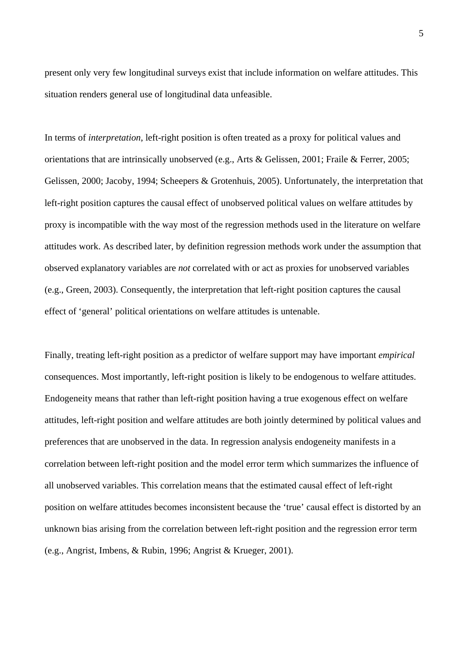present only very few longitudinal surveys exist that include information on welfare attitudes. This situation renders general use of longitudinal data unfeasible.

In terms of *interpretation*, left-right position is often treated as a proxy for political values and orientations that are intrinsically unobserved (e.g., Arts & Gelissen, 2001; Fraile & Ferrer, 2005; Gelissen, 2000; Jacoby, 1994; Scheepers & Grotenhuis, 2005). Unfortunately, the interpretation that left-right position captures the causal effect of unobserved political values on welfare attitudes by proxy is incompatible with the way most of the regression methods used in the literature on welfare attitudes work. As described later, by definition regression methods work under the assumption that observed explanatory variables are *not* correlated with or act as proxies for unobserved variables (e.g., Green, 2003). Consequently, the interpretation that left-right position captures the causal effect of 'general' political orientations on welfare attitudes is untenable.

Finally, treating left-right position as a predictor of welfare support may have important *empirical*  consequences. Most importantly, left-right position is likely to be endogenous to welfare attitudes. Endogeneity means that rather than left-right position having a true exogenous effect on welfare attitudes, left-right position and welfare attitudes are both jointly determined by political values and preferences that are unobserved in the data. In regression analysis endogeneity manifests in a correlation between left-right position and the model error term which summarizes the influence of all unobserved variables. This correlation means that the estimated causal effect of left-right position on welfare attitudes becomes inconsistent because the 'true' causal effect is distorted by an unknown bias arising from the correlation between left-right position and the regression error term (e.g., Angrist, Imbens, & Rubin, 1996; Angrist & Krueger, 2001).

5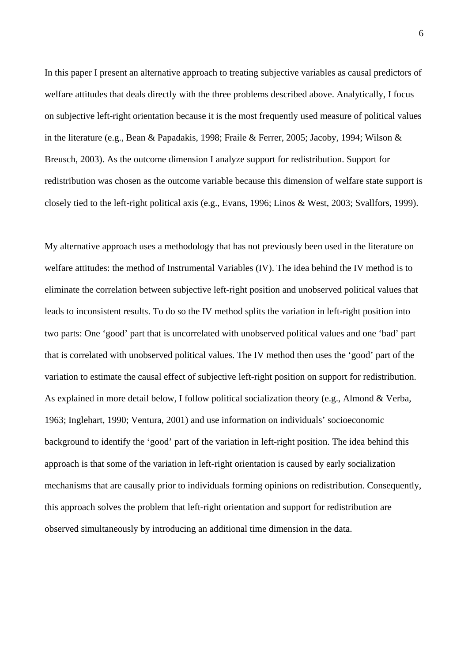In this paper I present an alternative approach to treating subjective variables as causal predictors of welfare attitudes that deals directly with the three problems described above. Analytically, I focus on subjective left-right orientation because it is the most frequently used measure of political values in the literature (e.g., Bean & Papadakis, 1998; Fraile & Ferrer, 2005; Jacoby, 1994; Wilson & Breusch, 2003). As the outcome dimension I analyze support for redistribution. Support for redistribution was chosen as the outcome variable because this dimension of welfare state support is closely tied to the left-right political axis (e.g., Evans, 1996; Linos & West, 2003; Svallfors, 1999).

My alternative approach uses a methodology that has not previously been used in the literature on welfare attitudes: the method of Instrumental Variables (IV). The idea behind the IV method is to eliminate the correlation between subjective left-right position and unobserved political values that leads to inconsistent results. To do so the IV method splits the variation in left-right position into two parts: One 'good' part that is uncorrelated with unobserved political values and one 'bad' part that is correlated with unobserved political values. The IV method then uses the 'good' part of the variation to estimate the causal effect of subjective left-right position on support for redistribution. As explained in more detail below, I follow political socialization theory (e.g., Almond & Verba, 1963; Inglehart, 1990; Ventura, 2001) and use information on individuals' socioeconomic background to identify the 'good' part of the variation in left-right position. The idea behind this approach is that some of the variation in left-right orientation is caused by early socialization mechanisms that are causally prior to individuals forming opinions on redistribution. Consequently, this approach solves the problem that left-right orientation and support for redistribution are observed simultaneously by introducing an additional time dimension in the data.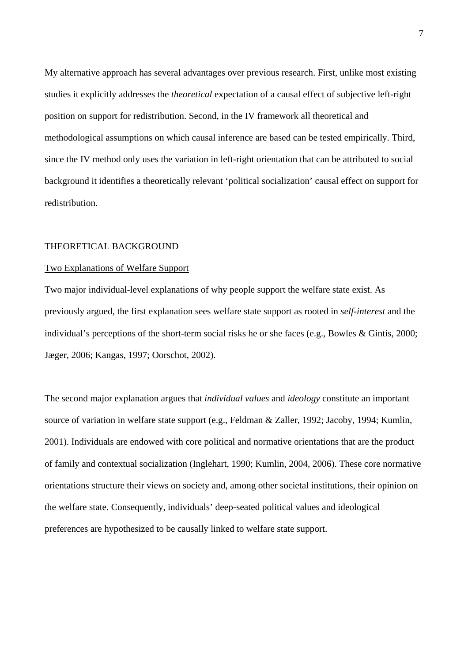My alternative approach has several advantages over previous research. First, unlike most existing studies it explicitly addresses the *theoretical* expectation of a causal effect of subjective left-right position on support for redistribution. Second, in the IV framework all theoretical and methodological assumptions on which causal inference are based can be tested empirically. Third, since the IV method only uses the variation in left-right orientation that can be attributed to social background it identifies a theoretically relevant 'political socialization' causal effect on support for redistribution.

#### THEORETICAL BACKGROUND

#### Two Explanations of Welfare Support

Two major individual-level explanations of why people support the welfare state exist. As previously argued, the first explanation sees welfare state support as rooted in *self-interest* and the individual's perceptions of the short-term social risks he or she faces (e.g., Bowles & Gintis, 2000; Jæger, 2006; Kangas, 1997; Oorschot, 2002).

The second major explanation argues that *individual values* and *ideology* constitute an important source of variation in welfare state support (e.g., Feldman & Zaller, 1992; Jacoby, 1994; Kumlin, 2001). Individuals are endowed with core political and normative orientations that are the product of family and contextual socialization (Inglehart, 1990; Kumlin, 2004, 2006). These core normative orientations structure their views on society and, among other societal institutions, their opinion on the welfare state. Consequently, individuals' deep-seated political values and ideological preferences are hypothesized to be causally linked to welfare state support.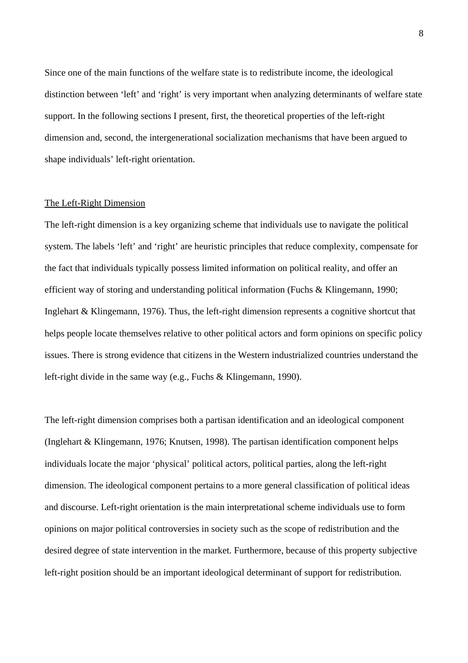Since one of the main functions of the welfare state is to redistribute income, the ideological distinction between 'left' and 'right' is very important when analyzing determinants of welfare state support. In the following sections I present, first, the theoretical properties of the left-right dimension and, second, the intergenerational socialization mechanisms that have been argued to shape individuals' left-right orientation.

#### The Left-Right Dimension

The left-right dimension is a key organizing scheme that individuals use to navigate the political system. The labels 'left' and 'right' are heuristic principles that reduce complexity, compensate for the fact that individuals typically possess limited information on political reality, and offer an efficient way of storing and understanding political information (Fuchs & Klingemann, 1990; Inglehart & Klingemann, 1976). Thus, the left-right dimension represents a cognitive shortcut that helps people locate themselves relative to other political actors and form opinions on specific policy issues. There is strong evidence that citizens in the Western industrialized countries understand the left-right divide in the same way (e.g., Fuchs & Klingemann, 1990).

The left-right dimension comprises both a partisan identification and an ideological component (Inglehart & Klingemann, 1976; Knutsen, 1998). The partisan identification component helps individuals locate the major 'physical' political actors, political parties, along the left-right dimension. The ideological component pertains to a more general classification of political ideas and discourse. Left-right orientation is the main interpretational scheme individuals use to form opinions on major political controversies in society such as the scope of redistribution and the desired degree of state intervention in the market. Furthermore, because of this property subjective left-right position should be an important ideological determinant of support for redistribution.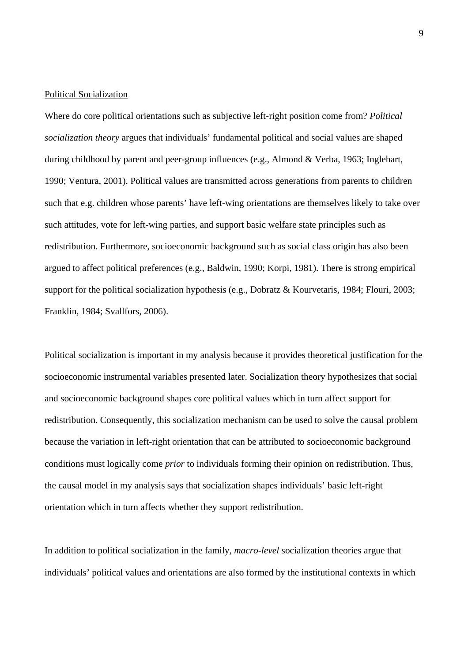#### Political Socialization

Where do core political orientations such as subjective left-right position come from? *Political socialization theory* argues that individuals' fundamental political and social values are shaped during childhood by parent and peer-group influences (e.g., Almond & Verba, 1963; Inglehart, 1990; Ventura, 2001). Political values are transmitted across generations from parents to children such that e.g. children whose parents' have left-wing orientations are themselves likely to take over such attitudes, vote for left-wing parties, and support basic welfare state principles such as redistribution. Furthermore, socioeconomic background such as social class origin has also been argued to affect political preferences (e.g., Baldwin, 1990; Korpi, 1981). There is strong empirical support for the political socialization hypothesis (e.g., Dobratz & Kourvetaris, 1984; Flouri, 2003; Franklin, 1984; Svallfors, 2006).

Political socialization is important in my analysis because it provides theoretical justification for the socioeconomic instrumental variables presented later. Socialization theory hypothesizes that social and socioeconomic background shapes core political values which in turn affect support for redistribution. Consequently, this socialization mechanism can be used to solve the causal problem because the variation in left-right orientation that can be attributed to socioeconomic background conditions must logically come *prior* to individuals forming their opinion on redistribution. Thus, the causal model in my analysis says that socialization shapes individuals' basic left-right orientation which in turn affects whether they support redistribution.

In addition to political socialization in the family, *macro-level* socialization theories argue that individuals' political values and orientations are also formed by the institutional contexts in which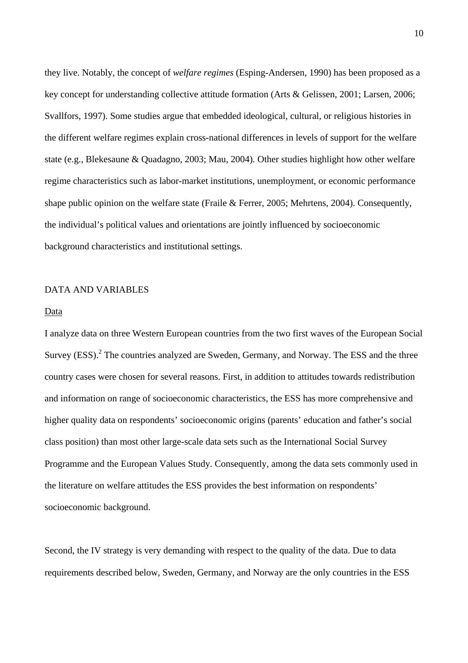they live. Notably, the concept of *welfare regimes* (Esping-Andersen, 1990) has been proposed as a key concept for understanding collective attitude formation (Arts & Gelissen, 2001; Larsen, 2006; Svallfors, 1997). Some studies argue that embedded ideological, cultural, or religious histories in the different welfare regimes explain cross-national differences in levels of support for the welfare state (e.g., Blekesaune & Quadagno, 2003; Mau, 2004). Other studies highlight how other welfare regime characteristics such as labor-market institutions, unemployment, or economic performance shape public opinion on the welfare state (Fraile & Ferrer, 2005; Mehrtens, 2004). Consequently, the individual's political values and orientations are jointly influenced by socioeconomic background characteristics and institutional settings.

#### DATA AND VARIABLES

#### Data

I analyze data on three Western European countries from the two first waves of the European Social Survey (ESS).<sup>2</sup> [T](#page-39-1)he countries analyzed are Sweden, Germany, and Norway. The ESS and the three country cases were chosen for several reasons. First, in addition to attitudes towards redistribution and information on range of socioeconomic characteristics, the ESS has more comprehensive and higher quality data on respondents' socioeconomic origins (parents' education and father's social class position) than most other large-scale data sets such as the International Social Survey Programme and the European Values Study. Consequently, among the data sets commonly used in the literature on welfare attitudes the ESS provides the best information on respondents' socioeconomic background.

Second, the IV strategy is very demanding with respect to the quality of the data. Due to data requirements described below, Sweden, Germany, and Norway are the only countries in the ESS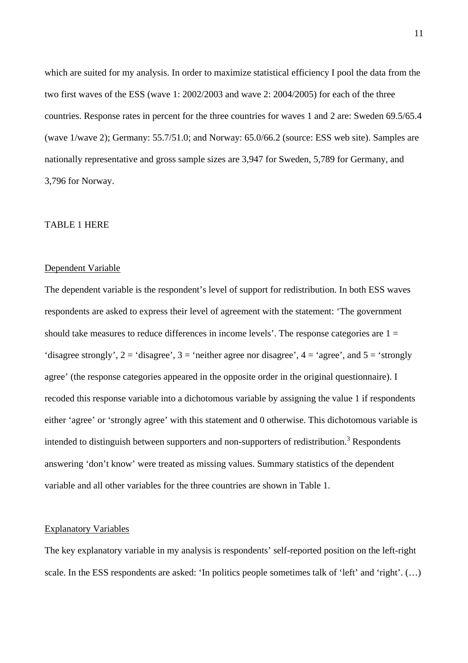which are suited for my analysis. In order to maximize statistical efficiency I pool the data from the two first waves of the ESS (wave 1: 2002/2003 and wave 2: 2004/2005) for each of the three countries. Response rates in percent for the three countries for waves 1 and 2 are: Sweden 69.5/65.4 (wave 1/wave 2); Germany: 55.7/51.0; and Norway: 65.0/66.2 (source: ESS web site). Samples are nationally representative and gross sample sizes are 3,947 for Sweden, 5,789 for Germany, and 3,796 for Norway.

#### TABLE 1 HERE

#### Dependent Variable

The dependent variable is the respondent's level of support for redistribution. In both ESS waves respondents are asked to express their level of agreement with the statement: 'The government should take measures to reduce differences in income levels'. The response categories are  $1 =$ 'disagree strongly',  $2 =$  'disagree',  $3 =$  'neither agree nor disagree',  $4 =$  'agree', and  $5 =$  'strongly' agree' (the response categories appeared in the opposite order in the original questionnaire). I recoded this response variable into a dichotomous variable by assigning the value 1 if respondents either 'agree' or 'strongly agree' with this statement and 0 otherwise. This dichotomous variable is intended to distinguish between supporters and non-supporters of redistribution.<sup>[3](#page-39-2)</sup> Respondents answering 'don't know' were treated as missing values. Summary statistics of the dependent variable and all other variables for the three countries are shown in Table 1.

#### Explanatory Variables

The key explanatory variable in my analysis is respondents' self-reported position on the left-right scale. In the ESS respondents are asked: 'In politics people sometimes talk of 'left' and 'right'. (…)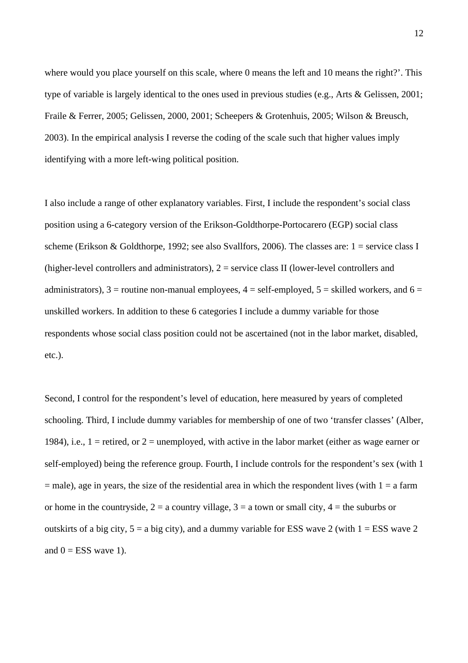where would you place yourself on this scale, where 0 means the left and 10 means the right?'. This type of variable is largely identical to the ones used in previous studies (e.g., Arts & Gelissen, 2001; Fraile & Ferrer, 2005; Gelissen, 2000, 2001; Scheepers & Grotenhuis, 2005; Wilson & Breusch, 2003). In the empirical analysis I reverse the coding of the scale such that higher values imply identifying with a more left-wing political position.

I also include a range of other explanatory variables. First, I include the respondent's social class position using a 6-category version of the Erikson-Goldthorpe-Portocarero (EGP) social class scheme (Erikson & Goldthorpe, 1992; see also Svallfors, 2006). The classes are: 1 = service class I (higher-level controllers and administrators), 2 = service class II (lower-level controllers and administrators),  $3 =$  routine non-manual employees,  $4 =$  self-employed,  $5 =$  skilled workers, and  $6 =$ unskilled workers. In addition to these 6 categories I include a dummy variable for those respondents whose social class position could not be ascertained (not in the labor market, disabled, etc.).

Second, I control for the respondent's level of education, here measured by years of completed schooling. Third, I include dummy variables for membership of one of two 'transfer classes' (Alber, 1984), i.e.,  $1 =$  retired, or  $2 =$  unemployed, with active in the labor market (either as wage earner or self-employed) being the reference group. Fourth, I include controls for the respondent's sex (with 1  $=$  male), age in years, the size of the residential area in which the respondent lives (with  $1 = a$  farm or home in the countryside,  $2 = a$  country village,  $3 = a$  town or small city,  $4 =$  the suburbs or outskirts of a big city,  $5 = a$  big city), and a dummy variable for ESS wave 2 (with  $1 = ESS$  wave 2 and  $0 = ESS$  wave 1).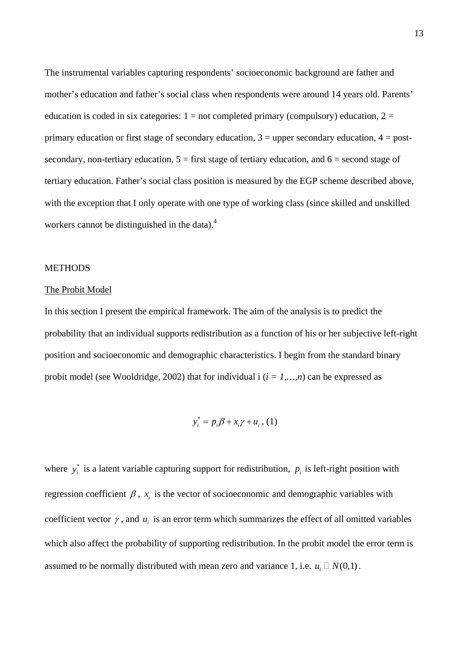The instrumental variables capturing respondents' socioeconomic background are father and mother's education and father's social class when respondents were around 14 years old. Parents' education is coded in six categories:  $1 = not$  completed primary (compulsory) education,  $2 =$ primary education or first stage of secondary education,  $3 =$  upper secondary education,  $4 =$  postsecondary, non-tertiary education,  $5 =$  first stage of tertiary education, and  $6 =$  second stage of tertiary education. Father's social class position is measured by the EGP scheme described above, with the exception that I only operate with one type of working class (since skilled and unskilled workers cannot be distinguished in the data).<sup>[4](#page-39-3)</sup>

#### METHODS

#### The Probit Model

In this section I present the empirical framework. The aim of the analysis is to predict the probability that an individual supports redistribution as a function of his or her subjective left-right position and socioeconomic and demographic characteristics. I begin from the standard binary probit model (see Wooldridge, 2002) that for individual i  $(i = 1,...,n)$  can be expressed as

$$
y_i^* = p_i \beta + x_i \gamma + u_i \,, (1)
$$

where  $y_i^*$  is a latent variable capturing support for redistribution,  $p_i$  is left-right position with regression coefficient  $\beta$ ,  $x_i$  is the vector of socioeconomic and demographic variables with coefficient vector  $\gamma$ , and  $u_i$  is an error term which summarizes the effect of all omitted variables which also affect the probability of supporting redistribution. In the probit model the error term is assumed to be normally distributed with mean zero and variance 1, i.e.  $u_i \square N(0,1)$ .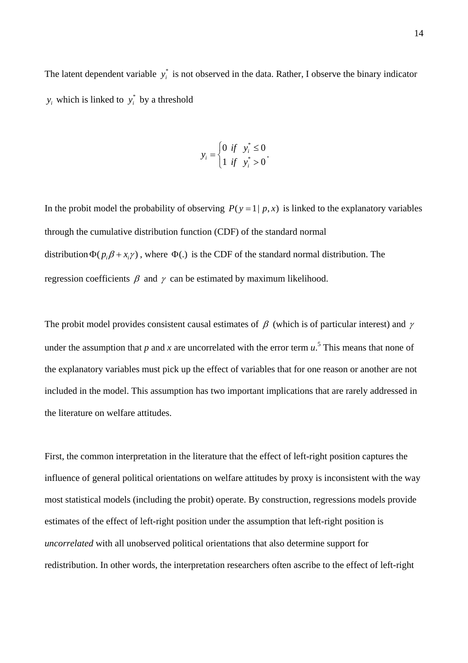The latent dependent variable  $y_i^*$  is not observed in the data. Rather, I observe the binary indicator  $y_i$  which is linked to  $y_i^*$  by a threshold

$$
y_i = \begin{cases} 0 & \text{if} \quad y_i^* \le 0 \\ 1 & \text{if} \quad y_i^* > 0 \end{cases}.
$$

In the probit model the probability of observing  $P(y=1 | p, x)$  is linked to the explanatory variables through the cumulative distribution function (CDF) of the standard normal distribution  $\Phi(p_i \beta + x_i \gamma)$ , where  $\Phi(.)$  is the CDF of the standard normal distribution. The regression coefficients  $\beta$  and  $\gamma$  can be estimated by maximum likelihood.

The probit model provides consistent causal estimates of  $\beta$  (which is of particular interest) and  $\gamma$ under the assumption that  $p$  and  $x$  are uncorrelated with the error term  $u$ .<sup>5</sup> [T](#page-39-4)his means that none of the explanatory variables must pick up the effect of variables that for one reason or another are not included in the model. This assumption has two important implications that are rarely addressed in the literature on welfare attitudes.

First, the common interpretation in the literature that the effect of left-right position captures the influence of general political orientations on welfare attitudes by proxy is inconsistent with the way most statistical models (including the probit) operate. By construction, regressions models provide estimates of the effect of left-right position under the assumption that left-right position is *uncorrelated* with all unobserved political orientations that also determine support for redistribution. In other words, the interpretation researchers often ascribe to the effect of left-right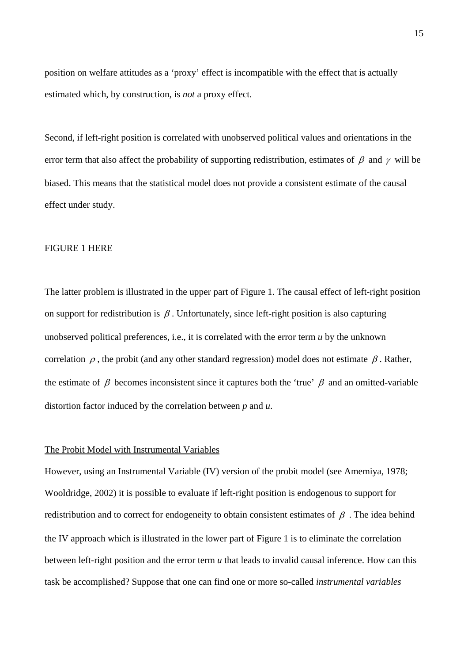position on welfare attitudes as a 'proxy' effect is incompatible with the effect that is actually estimated which, by construction, is *not* a proxy effect.

Second, if left-right position is correlated with unobserved political values and orientations in the error term that also affect the probability of supporting redistribution, estimates of  $\beta$  and  $\gamma$  will be biased. This means that the statistical model does not provide a consistent estimate of the causal effect under study.

#### FIGURE 1 HERE

The latter problem is illustrated in the upper part of Figure 1. The causal effect of left-right position on support for redistribution is  $\beta$ . Unfortunately, since left-right position is also capturing unobserved political preferences, i.e., it is correlated with the error term *u* by the unknown correlation  $\rho$ , the probit (and any other standard regression) model does not estimate  $\beta$ . Rather, the estimate of  $\beta$  becomes inconsistent since it captures both the 'true'  $\beta$  and an omitted-variable distortion factor induced by the correlation between *p* and *u*.

#### The Probit Model with Instrumental Variables

However, using an Instrumental Variable (IV) version of the probit model (see Amemiya, 1978; Wooldridge, 2002) it is possible to evaluate if left-right position is endogenous to support for redistribution and to correct for endogeneity to obtain consistent estimates of  $\beta$ . The idea behind the IV approach which is illustrated in the lower part of Figure 1 is to eliminate the correlation between left-right position and the error term *u* that leads to invalid causal inference. How can this task be accomplished? Suppose that one can find one or more so-called *instrumental variables*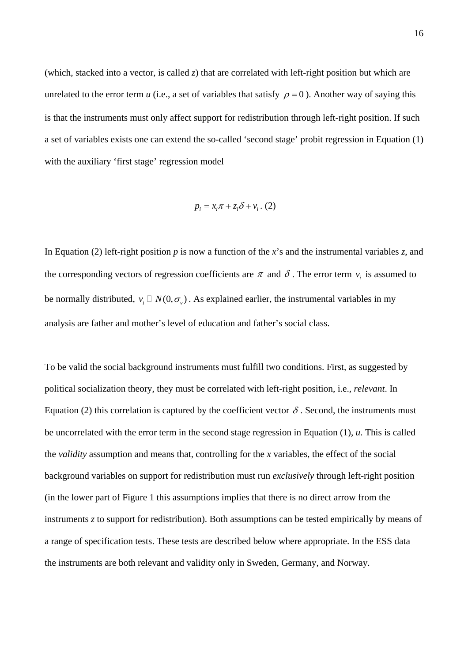(which, stacked into a vector, is called *z*) that are correlated with left-right position but which are unrelated to the error term *u* (i.e., a set of variables that satisfy  $\rho = 0$ ). Another way of saying this is that the instruments must only affect support for redistribution through left-right position. If such a set of variables exists one can extend the so-called 'second stage' probit regression in Equation (1) with the auxiliary 'first stage' regression model

$$
p_i = x_i \pi + z_i \delta + v_i \tag{2}
$$

In Equation (2) left-right position *p* is now a function of the *x*'s and the instrumental variables *z*, and the corresponding vectors of regression coefficients are  $\pi$  and  $\delta$ . The error term  $v_i$  is assumed to be normally distributed,  $v_i \square N(0, \sigma_{\nu})$ . As explained earlier, the instrumental variables in my analysis are father and mother's level of education and father's social class.

To be valid the social background instruments must fulfill two conditions. First, as suggested by political socialization theory, they must be correlated with left-right position, i.e., *relevant*. In Equation (2) this correlation is captured by the coefficient vector  $\delta$ . Second, the instruments must be uncorrelated with the error term in the second stage regression in Equation (1), *u*. This is called the *validity* assumption and means that, controlling for the *x* variables, the effect of the social background variables on support for redistribution must run *exclusively* through left-right position (in the lower part of Figure 1 this assumptions implies that there is no direct arrow from the instruments *z* to support for redistribution). Both assumptions can be tested empirically by means of a range of specification tests. These tests are described below where appropriate. In the ESS data the instruments are both relevant and validity only in Sweden, Germany, and Norway.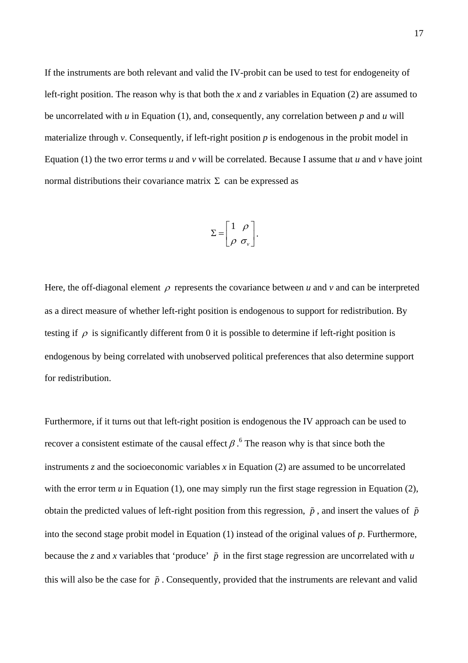If the instruments are both relevant and valid the IV-probit can be used to test for endogeneity of left-right position. The reason why is that both the *x* and *z* variables in Equation (2) are assumed to be uncorrelated with *u* in Equation (1), and, consequently, any correlation between *p* and *u* will materialize through  $\nu$ . Consequently, if left-right position  $\nu$  is endogenous in the probit model in Equation (1) the two error terms *u* and *v* will be correlated. Because I assume that *u* and *v* have joint normal distributions their covariance matrix Σ can be expressed as

$$
\Sigma = \begin{bmatrix} 1 & \rho \\ \rho & \sigma_v \end{bmatrix}.
$$

Here, the off-diagonal element  $\rho$  represents the covariance between *u* and *v* and can be interpreted as a direct measure of whether left-right position is endogenous to support for redistribution. By testing if  $\rho$  is significantly different from 0 it is possible to determine if left-right position is endogenous by being correlated with unobserved political preferences that also determine support for redistribution.

Furthermore, if it turns out that left-right position is endogenous the IV approach can be used to recover a consistent estimate of the causal effect  $\beta$ . <sup>6</sup> [T](#page-39-5)he reason why is that since both the instruments *z* and the socioeconomic variables *x* in Equation (2) are assumed to be uncorrelated with the error term  $u$  in Equation (1), one may simply run the first stage regression in Equation (2), obtain the predicted values of left-right position from this regression,  $\tilde{p}$ , and insert the values of  $\tilde{p}$ into the second stage probit model in Equation (1) instead of the original values of *p*. Furthermore, because the *z* and *x* variables that 'produce'  $\tilde{p}$  in the first stage regression are uncorrelated with *u* this will also be the case for  $\tilde{p}$ . Consequently, provided that the instruments are relevant and valid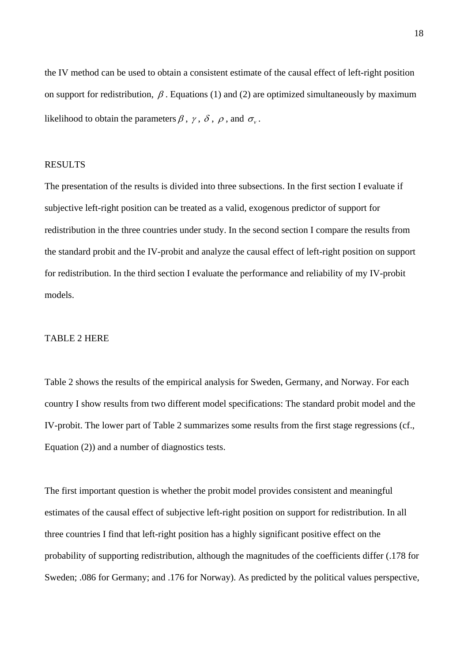the IV method can be used to obtain a consistent estimate of the causal effect of left-right position on support for redistribution,  $\beta$ . Equations (1) and (2) are optimized simultaneously by maximum likelihood to obtain the parameters  $\beta$ ,  $\gamma$ ,  $\delta$ ,  $\rho$ , and  $\sigma$ .

#### RESULTS

The presentation of the results is divided into three subsections. In the first section I evaluate if subjective left-right position can be treated as a valid, exogenous predictor of support for redistribution in the three countries under study. In the second section I compare the results from the standard probit and the IV-probit and analyze the causal effect of left-right position on support for redistribution. In the third section I evaluate the performance and reliability of my IV-probit models.

#### TABLE 2 HERE

Table 2 shows the results of the empirical analysis for Sweden, Germany, and Norway. For each country I show results from two different model specifications: The standard probit model and the IV-probit. The lower part of Table 2 summarizes some results from the first stage regressions (cf., Equation (2)) and a number of diagnostics tests.

The first important question is whether the probit model provides consistent and meaningful estimates of the causal effect of subjective left-right position on support for redistribution. In all three countries I find that left-right position has a highly significant positive effect on the probability of supporting redistribution, although the magnitudes of the coefficients differ (.178 for Sweden; .086 for Germany; and .176 for Norway). As predicted by the political values perspective,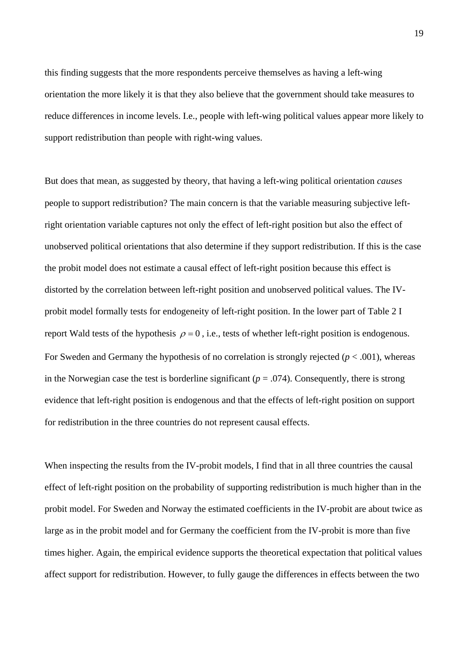this finding suggests that the more respondents perceive themselves as having a left-wing orientation the more likely it is that they also believe that the government should take measures to reduce differences in income levels. I.e., people with left-wing political values appear more likely to support redistribution than people with right-wing values.

But does that mean, as suggested by theory, that having a left-wing political orientation *causes* people to support redistribution? The main concern is that the variable measuring subjective leftright orientation variable captures not only the effect of left-right position but also the effect of unobserved political orientations that also determine if they support redistribution. If this is the case the probit model does not estimate a causal effect of left-right position because this effect is distorted by the correlation between left-right position and unobserved political values. The IVprobit model formally tests for endogeneity of left-right position. In the lower part of Table 2 I report Wald tests of the hypothesis  $\rho = 0$ , i.e., tests of whether left-right position is endogenous. For Sweden and Germany the hypothesis of no correlation is strongly rejected ( $p < .001$ ), whereas in the Norwegian case the test is borderline significant ( $p = .074$ ). Consequently, there is strong evidence that left-right position is endogenous and that the effects of left-right position on support for redistribution in the three countries do not represent causal effects.

When inspecting the results from the IV-probit models, I find that in all three countries the causal effect of left-right position on the probability of supporting redistribution is much higher than in the probit model. For Sweden and Norway the estimated coefficients in the IV-probit are about twice as large as in the probit model and for Germany the coefficient from the IV-probit is more than five times higher. Again, the empirical evidence supports the theoretical expectation that political values affect support for redistribution. However, to fully gauge the differences in effects between the two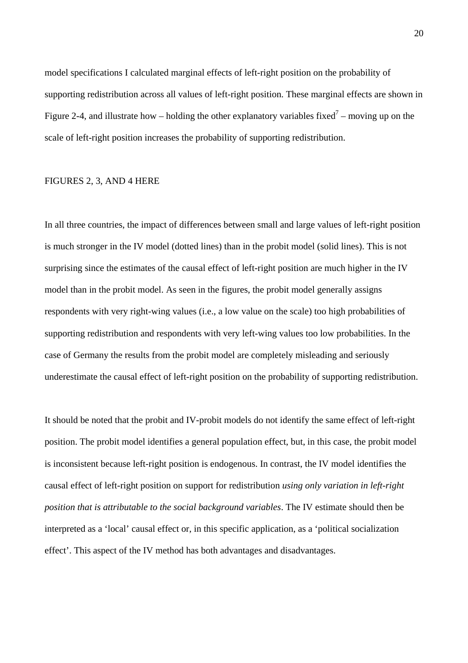model specifications I calculated marginal effects of left-right position on the probability of supporting redistribution across all values of left-right position. These marginal effects are shown in Figure 2-4, and illustrate how – holding the other explanatory variables fixed<sup>[7](#page-39-6)</sup> – moving up on the scale of left-right position increases the probability of supporting redistribution.

#### FIGURES 2, 3, AND 4 HERE

In all three countries, the impact of differences between small and large values of left-right position is much stronger in the IV model (dotted lines) than in the probit model (solid lines). This is not surprising since the estimates of the causal effect of left-right position are much higher in the IV model than in the probit model. As seen in the figures, the probit model generally assigns respondents with very right-wing values (i.e., a low value on the scale) too high probabilities of supporting redistribution and respondents with very left-wing values too low probabilities. In the case of Germany the results from the probit model are completely misleading and seriously underestimate the causal effect of left-right position on the probability of supporting redistribution.

It should be noted that the probit and IV-probit models do not identify the same effect of left-right position. The probit model identifies a general population effect, but, in this case, the probit model is inconsistent because left-right position is endogenous. In contrast, the IV model identifies the causal effect of left-right position on support for redistribution *using only variation in left-right position that is attributable to the social background variables*. The IV estimate should then be interpreted as a 'local' causal effect or, in this specific application, as a 'political socialization effect'. This aspect of the IV method has both advantages and disadvantages.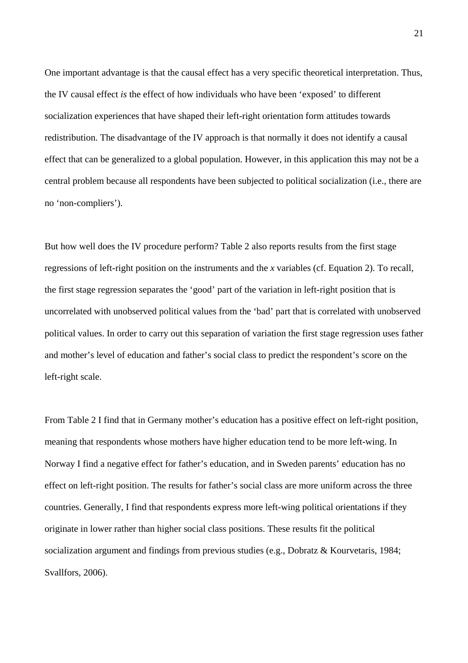One important advantage is that the causal effect has a very specific theoretical interpretation. Thus, the IV causal effect *is* the effect of how individuals who have been 'exposed' to different socialization experiences that have shaped their left-right orientation form attitudes towards redistribution. The disadvantage of the IV approach is that normally it does not identify a causal effect that can be generalized to a global population. However, in this application this may not be a central problem because all respondents have been subjected to political socialization (i.e., there are no 'non-compliers').

But how well does the IV procedure perform? Table 2 also reports results from the first stage regressions of left-right position on the instruments and the *x* variables (cf. Equation 2). To recall, the first stage regression separates the 'good' part of the variation in left-right position that is uncorrelated with unobserved political values from the 'bad' part that is correlated with unobserved political values. In order to carry out this separation of variation the first stage regression uses father and mother's level of education and father's social class to predict the respondent's score on the left-right scale.

From Table 2 I find that in Germany mother's education has a positive effect on left-right position, meaning that respondents whose mothers have higher education tend to be more left-wing. In Norway I find a negative effect for father's education, and in Sweden parents' education has no effect on left-right position. The results for father's social class are more uniform across the three countries. Generally, I find that respondents express more left-wing political orientations if they originate in lower rather than higher social class positions. These results fit the political socialization argument and findings from previous studies (e.g., Dobratz & Kourvetaris, 1984; Svallfors, 2006).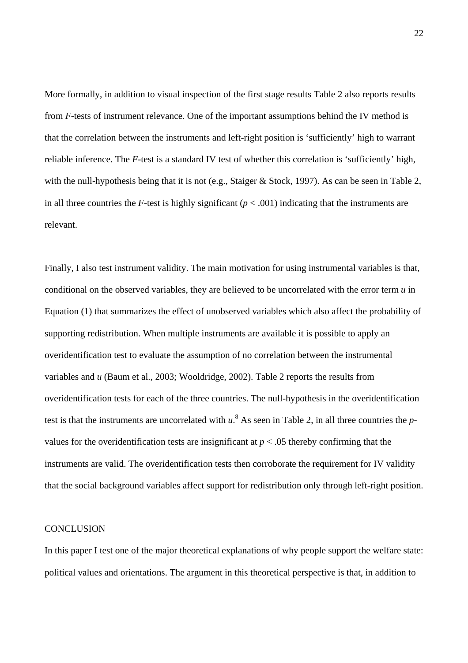More formally, in addition to visual inspection of the first stage results Table 2 also reports results from *F*-tests of instrument relevance. One of the important assumptions behind the IV method is that the correlation between the instruments and left-right position is 'sufficiently' high to warrant reliable inference. The *F*-test is a standard IV test of whether this correlation is 'sufficiently' high, with the null-hypothesis being that it is not (e.g., Staiger & Stock, 1997). As can be seen in Table 2, in all three countries the *F*-test is highly significant ( $p < .001$ ) indicating that the instruments are relevant.

Finally, I also test instrument validity. The main motivation for using instrumental variables is that, conditional on the observed variables, they are believed to be uncorrelated with the error term *u* in Equation (1) that summarizes the effect of unobserved variables which also affect the probability of supporting redistribution. When multiple instruments are available it is possible to apply an overidentification test to evaluate the assumption of no correlation between the instrumental variables and *u* (Baum et al., 2003; Wooldridge, 2002). Table 2 reports the results from overidentification tests for each of the three countries. The null-hypothesis in the overidentification test is that the instruments are uncorrelated with  $u$ .<sup>8</sup> [A](#page-39-7)s seen in Table 2, in all three countries the *p*values for the overidentification tests are insignificant at  $p < .05$  thereby confirming that the instruments are valid. The overidentification tests then corroborate the requirement for IV validity that the social background variables affect support for redistribution only through left-right position.

#### **CONCLUSION**

In this paper I test one of the major theoretical explanations of why people support the welfare state: political values and orientations. The argument in this theoretical perspective is that, in addition to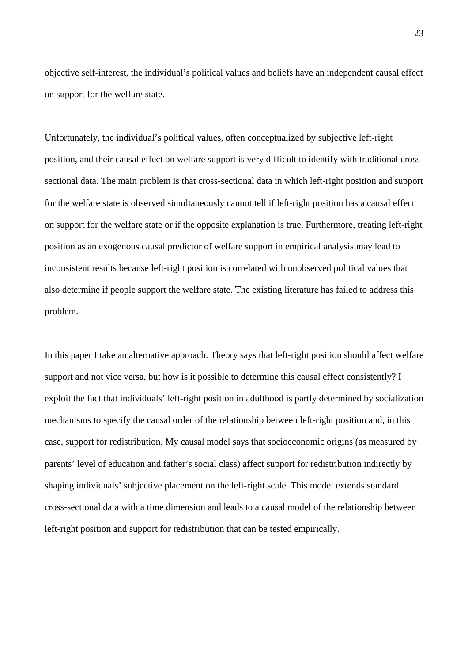objective self-interest, the individual's political values and beliefs have an independent causal effect on support for the welfare state.

Unfortunately, the individual's political values, often conceptualized by subjective left-right position, and their causal effect on welfare support is very difficult to identify with traditional crosssectional data. The main problem is that cross-sectional data in which left-right position and support for the welfare state is observed simultaneously cannot tell if left-right position has a causal effect on support for the welfare state or if the opposite explanation is true. Furthermore, treating left-right position as an exogenous causal predictor of welfare support in empirical analysis may lead to inconsistent results because left-right position is correlated with unobserved political values that also determine if people support the welfare state. The existing literature has failed to address this problem.

In this paper I take an alternative approach. Theory says that left-right position should affect welfare support and not vice versa, but how is it possible to determine this causal effect consistently? I exploit the fact that individuals' left-right position in adulthood is partly determined by socialization mechanisms to specify the causal order of the relationship between left-right position and, in this case, support for redistribution. My causal model says that socioeconomic origins (as measured by parents' level of education and father's social class) affect support for redistribution indirectly by shaping individuals' subjective placement on the left-right scale. This model extends standard cross-sectional data with a time dimension and leads to a causal model of the relationship between left-right position and support for redistribution that can be tested empirically.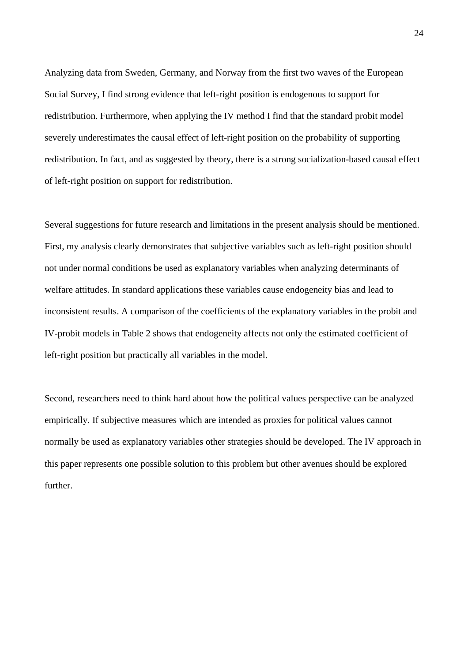Analyzing data from Sweden, Germany, and Norway from the first two waves of the European Social Survey, I find strong evidence that left-right position is endogenous to support for redistribution. Furthermore, when applying the IV method I find that the standard probit model severely underestimates the causal effect of left-right position on the probability of supporting redistribution. In fact, and as suggested by theory, there is a strong socialization-based causal effect of left-right position on support for redistribution.

Several suggestions for future research and limitations in the present analysis should be mentioned. First, my analysis clearly demonstrates that subjective variables such as left-right position should not under normal conditions be used as explanatory variables when analyzing determinants of welfare attitudes. In standard applications these variables cause endogeneity bias and lead to inconsistent results. A comparison of the coefficients of the explanatory variables in the probit and IV-probit models in Table 2 shows that endogeneity affects not only the estimated coefficient of left-right position but practically all variables in the model.

Second, researchers need to think hard about how the political values perspective can be analyzed empirically. If subjective measures which are intended as proxies for political values cannot normally be used as explanatory variables other strategies should be developed. The IV approach in this paper represents one possible solution to this problem but other avenues should be explored further.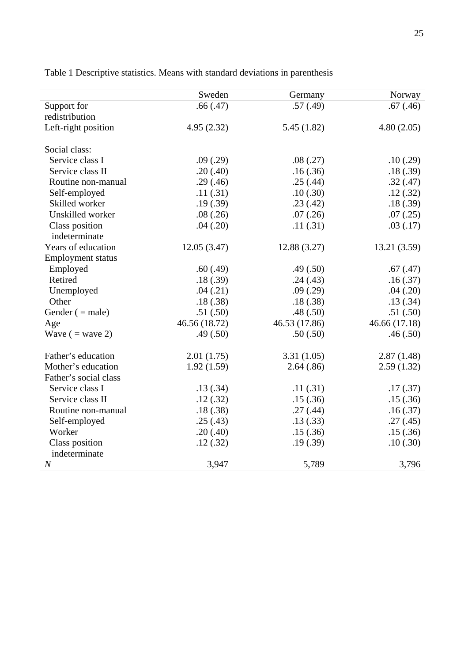|                                 | Sweden        | Germany       | Norway        |
|---------------------------------|---------------|---------------|---------------|
| Support for                     | .66(.47)      | .57(.49)      | .67(.46)      |
| redistribution                  |               |               |               |
| Left-right position             | 4.95(2.32)    | 5.45(1.82)    | 4.80(2.05)    |
| Social class:                   |               |               |               |
| Service class I                 | .09(.29)      | .08(.27)      | .10(.29)      |
| Service class II                | .20(.40)      | .16(.36)      | .18(.39)      |
| Routine non-manual              | .29(.46)      | .25(.44)      | .32(.47)      |
| Self-employed                   | .11(.31)      | .10(.30)      | .12(.32)      |
| Skilled worker                  | .19(.39)      | .23(.42)      | .18(.39)      |
| Unskilled worker                | .08(.26)      | .07(.26)      | .07(.25)      |
| Class position<br>indeterminate | .04(.20)      | .11(.31)      | .03(.17)      |
| Years of education              | 12.05(3.47)   | 12.88 (3.27)  | 13.21(3.59)   |
| <b>Employment status</b>        |               |               |               |
| Employed                        | .60(.49)      | .49(.50)      | .67(.47)      |
| Retired                         | .18(.39)      | .24(.43)      | .16(.37)      |
| Unemployed                      | .04(.21)      | .09(.29)      | .04(.20)      |
| Other                           | .18(.38)      | .18(.38)      | .13(.34)      |
| Gender $($ = male)              | .51(.50)      | .48(.50)      | .51(.50)      |
| Age                             | 46.56 (18.72) | 46.53 (17.86) | 46.66 (17.18) |
| Wave $($ = wave 2)              | .49(.50)      | .50(.50)      | .46(.50)      |
| Father's education              | 2.01(1.75)    | 3.31(1.05)    | 2.87(1.48)    |
| Mother's education              | 1.92(1.59)    | 2.64(.86)     | 2.59(1.32)    |
| Father's social class           |               |               |               |
| Service class I                 | .13(.34)      | .11(.31)      | .17(0.37)     |
| Service class II                | .12(.32)      | .15(.36)      | .15(.36)      |
| Routine non-manual              | .18(.38)      | .27(.44)      | .16(.37)      |
| Self-employed                   | .25(.43)      | .13(.33)      | .27(.45)      |
| Worker                          | .20(.40)      | .15(.36)      | .15(.36)      |
| Class position                  | .12(.32)      | .19(.39)      | .10(.30)      |
| indeterminate                   |               |               |               |
| $\overline{N}$                  | 3,947         | 5,789         | 3,796         |

Table 1 Descriptive statistics. Means with standard deviations in parenthesis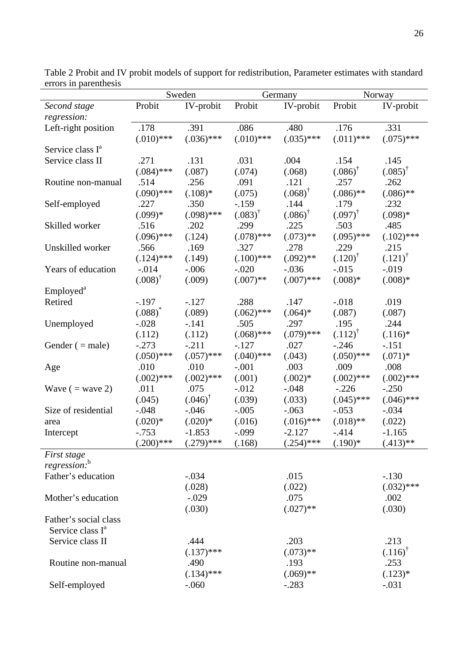|                              | Sweden             |                       | Germany            |                       | Norway             |                       |
|------------------------------|--------------------|-----------------------|--------------------|-----------------------|--------------------|-----------------------|
| Second stage                 | Probit             | IV-probit             | Probit             | IV-probit             | Probit             | IV-probit             |
| regression:                  |                    |                       |                    |                       |                    |                       |
| Left-right position          | .178               | .391                  | .086               | .480                  | .176               | .331                  |
|                              | $(.010)$ ***       | $(.036)$ ***          | $(.010)$ ***       | $(.035)$ ***          | $(.011)$ ***       | $(.075)$ ***          |
| Service class I <sup>a</sup> |                    |                       |                    |                       |                    |                       |
| Service class II             | .271               | .131                  | .031               | .004                  | .154               | .145                  |
|                              | $(.084)$ ***       | (.087)                | (.074)             | (.068)                | $(.086)^{\dagger}$ | $(.085)^{\dagger}$    |
| Routine non-manual           | .514               | .256                  | .091               | .121                  | .257               | .262                  |
|                              | $(.090)$ ***       | $(.108)*$             | (.075)             | $(.068)^{\dagger}$    | $(.086)$ **        | $(.086)$ **           |
| Self-employed                | .227               | .350                  | $-159$             | .144                  | .179               | .232                  |
|                              | $(.099)*$          | $(.098)$ ***          | $(.083)^{\dagger}$ | $(.086)$ <sup>†</sup> | $(.097)^{\dagger}$ | $(.098)*$             |
| Skilled worker               | .516               | .202                  | .299               | .225                  | .503               | .485                  |
|                              | $(.096)$ ***       | (.124)                | $(.078)$ ***       | $(.073)**$            | $(.095)$ ***       | $(.102)$ ***          |
| Unskilled worker             | .566               | .169                  | .327               | .278                  | .229               | .215                  |
|                              | $(.124)$ ***       | (.149)                | $(.100)$ ***       | $(.092)$ **           | $(.120)^{\dagger}$ | $(.121)^{\dagger}$    |
| Years of education           | $-0.014$           | $-0.006$              | $-.020$            | $-0.036$              | $-.015$            | $-0.019$              |
|                              | $(.008)^{\dagger}$ | (.009)                | $(.007)$ **        | $(.007)$ ***          | $(.008)*$          | $(.008)*$             |
| Employed <sup>a</sup>        |                    |                       |                    |                       |                    |                       |
| Retired                      | $-.197$            | $-.127$               | .288               | .147                  | $-0.018$           | .019                  |
|                              | $(.088)^*$         | (.089)                | $(.062)$ ***       | $(.064)*$             | (.087)             | (.087)                |
| Unemployed                   | $-.028$            | $-.141$               | .505               | .297                  | .195               | .244                  |
|                              | (.112)             | (.112)                | $(.068)$ ***       | $(.079)$ ***          | $(.112)^{T}$       | $(.116)^*$            |
|                              | $-.273$            | $-.211$               | $-.127$            | .027                  | $-.246$            | $-.151$               |
| Gender $(=$ male)            |                    |                       |                    |                       |                    |                       |
|                              | $(.050)$ ***       | $(.057)$ ***          | $(.040)$ ***       | (.043)                | $(.050)$ ***       | $(.071)*$             |
| Age                          | .010               | .010                  | $-.001$            | .003                  | .009               | .008                  |
|                              | $(.002)$ ***       | $(.002)$ ***          | (.001)             | $(.002)*$             | $(.002)$ ***       | $(.002)$ ***          |
| Wave $($ = wave 2)           | .011               | .075                  | $-0.012$           | $-.048$               | $-.226$            | $-.250$               |
|                              | (.045)             | $(.046)$ <sup>†</sup> | (.039)             | (.033)                | $(.045)$ ***       | $(.046)$ ***          |
| Size of residential          | $-.048$            | $-0.046$              | $-.005$            | $-.063$               | $-.053$            | $-.034$               |
| area                         | $(.020)*$          | $(.020)*$             | (.016)             | $(.016)$ ***          | $(.018)$ **        | (.022)                |
| Intercept                    | $-0.753$           | $-1.853$              | $-.099$            | $-2.127$              | $-.414$            | $-1.165$              |
|                              | $(.200)$ ***       | $(.279)$ ***          | (.168)             | $(.254)$ ***          | $(.190)$ *         | $(.413)$ **           |
| First stage                  |                    |                       |                    |                       |                    |                       |
| regression:b                 |                    |                       |                    |                       |                    |                       |
| Father's education           |                    | $-.034$               |                    | .015                  |                    | $-.130$               |
|                              |                    | (.028)                |                    | (.022)                |                    | $(.032)$ ***          |
| Mother's education           |                    | $-.029$               |                    | .075                  |                    | .002                  |
|                              |                    | (.030)                |                    | $(.027)$ **           |                    | (.030)                |
| Father's social class        |                    |                       |                    |                       |                    |                       |
| Service class I <sup>a</sup> |                    |                       |                    |                       |                    |                       |
| Service class II             |                    | .444                  |                    | .203                  |                    | .213                  |
|                              |                    | $(.137)$ ***          |                    | $(.073)$ **           |                    | $(.116)$ <sup>†</sup> |
| Routine non-manual           |                    | .490                  |                    | .193                  |                    | .253                  |
|                              |                    | $(.134)$ ***          |                    | $(.069)$ **           |                    | $(.123)*$             |
| Self-employed                |                    | $-.060$               |                    | $-.283$               |                    | $-.031$               |

Table 2 Probit and IV probit models of support for redistribution, Parameter estimates with standard errors in parenthesis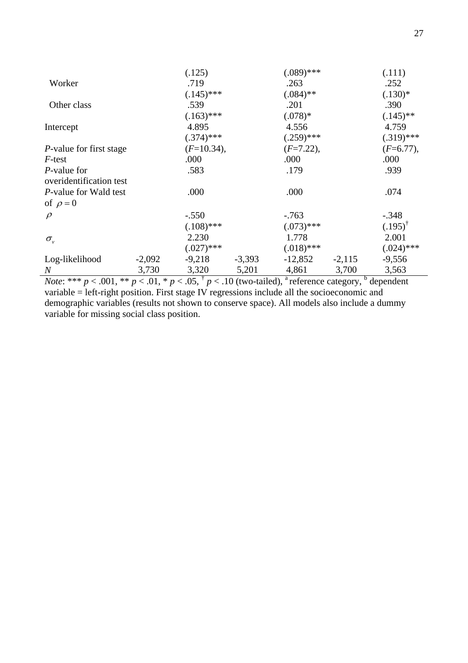|                                 |          | (.125)       |          | $(.089)$ *** |          | (.111)             |
|---------------------------------|----------|--------------|----------|--------------|----------|--------------------|
| Worker                          |          | .719         |          | .263         |          | .252               |
|                                 |          | $(.145)$ *** |          | $(.084)$ **  |          | $(.130)*$          |
| Other class                     |          | .539         |          | .201         |          | .390               |
|                                 |          | $(.163)$ *** |          | $(.078)*$    |          | $(.145)$ **        |
| Intercept                       |          | 4.895        |          | 4.556        |          | 4.759              |
|                                 |          | $(.374)$ *** |          | $(.259)$ *** |          | $(.319)$ ***       |
| <i>P</i> -value for first stage |          | $(F=10.34),$ |          | $(F=7.22),$  |          | $(F=6.77),$        |
| $F$ -test                       |          | .000         |          | .000         |          | .000               |
| <i>P</i> -value for             |          | .583         |          | .179         |          | .939               |
| overidentification test         |          |              |          |              |          |                    |
| <i>P</i> -value for Wald test   |          | .000         |          | .000         |          | .074               |
| of $\rho = 0$                   |          |              |          |              |          |                    |
| $\rho$                          |          | $-.550$      |          | $-0.763$     |          | $-.348$            |
|                                 |          | $(.108)$ *** |          | $(.073)$ *** |          | $(.195)^{\dagger}$ |
| $\sigma_{v}$                    |          | 2.230        |          | 1.778        |          | 2.001              |
|                                 |          | $(.027)$ *** |          | $(.018)$ *** |          | $(.024)$ ***       |
| Log-likelihood                  | $-2,092$ | $-9,218$     | $-3,393$ | $-12,852$    | $-2,115$ | $-9,556$           |
| $\boldsymbol{N}$                | 3,730    | 3,320        | 5,201    | 4,861        | 3,700    | 3,563              |

*Note*: \*\*\*  $p < .001$ , \*\*  $p < .01$ , \*  $p < .05$ ,  $\dagger$   $p < .10$  (two-tailed), <sup>a</sup> reference category, <sup>b</sup> dependent variable = left-right position. First stage IV regressions include all the socioeconomic and demographic variables (results not shown to conserve space). All models also include a dummy variable for missing social class position.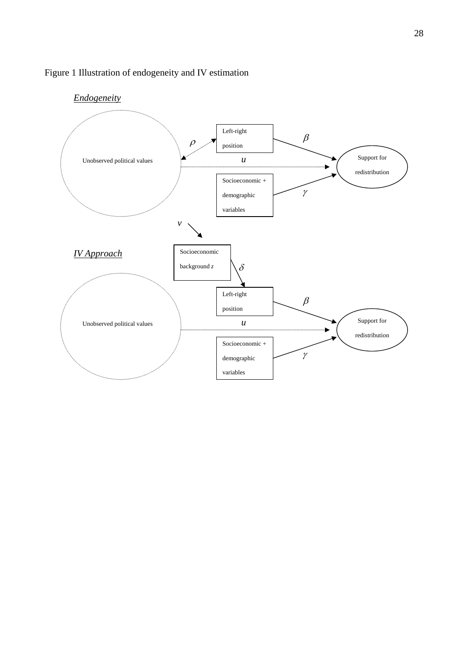

### Figure 1 Illustration of endogeneity and IV estimation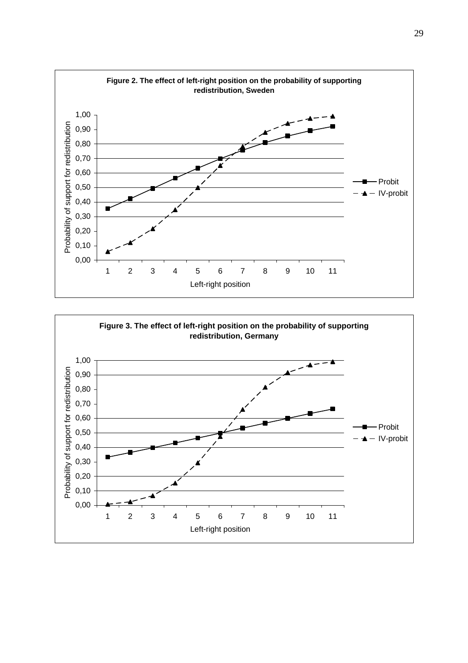

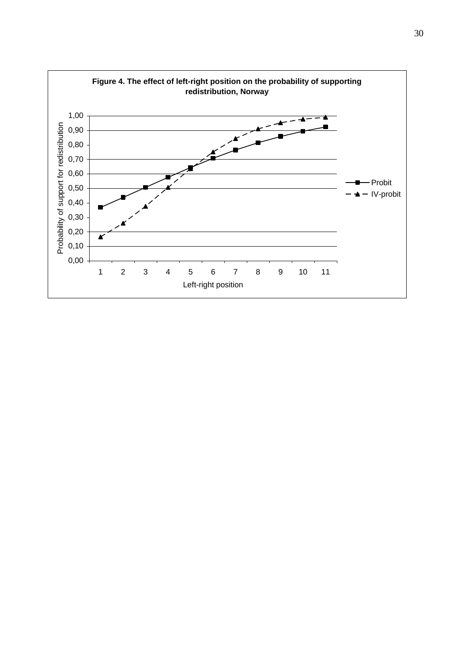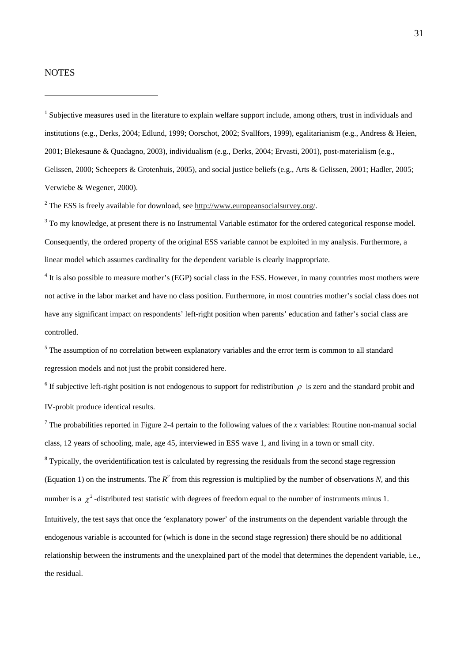#### **NOTES**

 $\overline{a}$ 

<sup>1</sup> Subjective measures used in the literature to explain welfare support include, among others, trust in individuals and institutions (e.g., Derks, 2004; Edlund, 1999; Oorschot, 2002; Svallfors, 1999), egalitarianism (e.g., Andress & Heien, 2001; Blekesaune & Quadagno, 2003), individualism (e.g., Derks, 2004; Ervasti, 2001), post-materialism (e.g., Gelissen, 2000; Scheepers & Grotenhuis, 2005), and social justice beliefs (e.g., Arts & Gelissen, 2001; Hadler, 2005; Verwiebe & Wegener, 2000).

<sup>2</sup> The ESS is freely available for download, see  $\frac{http://www.europeansocialsurvey.org/}{$ .

 $3$  To my knowledge, at present there is no Instrumental Variable estimator for the ordered categorical response model. Consequently, the ordered property of the original ESS variable cannot be exploited in my analysis. Furthermore, a linear model which assumes cardinality for the dependent variable is clearly inappropriate.

 $4$  It is also possible to measure mother's (EGP) social class in the ESS. However, in many countries most mothers were not active in the labor market and have no class position. Furthermore, in most countries mother's social class does not have any significant impact on respondents' left-right position when parents' education and father's social class are controlled.

<sup>5</sup> The assumption of no correlation between explanatory variables and the error term is common to all standard regression models and not just the probit considered here.

<sup>6</sup> If subjective left-right position is not endogenous to support for redistribution  $\rho$  is zero and the standard probit and IV-probit produce identical results.

<sup>7</sup> The probabilities reported in Figure 2-4 pertain to the following values of the *x* variables: Routine non-manual social class, 12 years of schooling, male, age 45, interviewed in ESS wave 1, and living in a town or small city.

 $8$  Typically, the overidentification test is calculated by regressing the residuals from the second stage regression (Equation 1) on the instruments. The  $R^2$  from this regression is multiplied by the number of observations *N*, and this number is a  $\chi^2$ -distributed test statistic with degrees of freedom equal to the number of instruments minus 1. Intuitively, the test says that once the 'explanatory power' of the instruments on the dependent variable through the endogenous variable is accounted for (which is done in the second stage regression) there should be no additional relationship between the instruments and the unexplained part of the model that determines the dependent variable, i.e., the residual.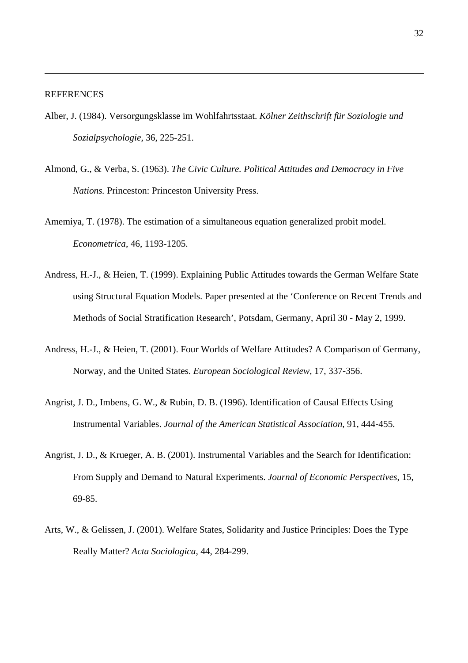#### **REFERENCES**

- Alber, J. (1984). Versorgungsklasse im Wohlfahrtsstaat. *Kölner Zeithschrift für Soziologie und Sozialpsychologie*, 36, 225-251.
- Almond, G., & Verba, S. (1963). *The Civic Culture. Political Attitudes and Democracy in Five Nations.* Princeston: Princeston University Press.
- Amemiya, T. (1978). The estimation of a simultaneous equation generalized probit model. *Econometrica*, 46, 1193-1205.
- Andress, H.-J., & Heien, T. (1999). Explaining Public Attitudes towards the German Welfare State using Structural Equation Models. Paper presented at the 'Conference on Recent Trends and Methods of Social Stratification Research', Potsdam, Germany, April 30 - May 2, 1999.
- Andress, H.-J., & Heien, T. (2001). Four Worlds of Welfare Attitudes? A Comparison of Germany, Norway, and the United States. *European Sociological Review*, 17, 337-356.
- Angrist, J. D., Imbens, G. W., & Rubin, D. B. (1996). Identification of Causal Effects Using Instrumental Variables. *Journal of the American Statistical Association*, 91, 444-455.
- Angrist, J. D., & Krueger, A. B. (2001). Instrumental Variables and the Search for Identification: From Supply and Demand to Natural Experiments. *Journal of Economic Perspectives*, 15, 69-85.
- Arts, W., & Gelissen, J. (2001). Welfare States, Solidarity and Justice Principles: Does the Type Really Matter? *Acta Sociologica*, 44, 284-299.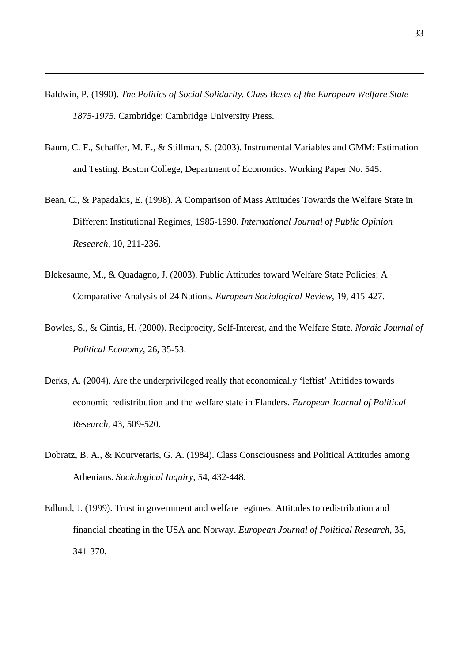Baldwin, P. (1990). *The Politics of Social Solidarity. Class Bases of the European Welfare State 1875-1975.* Cambridge: Cambridge University Press.

- Baum, C. F., Schaffer, M. E., & Stillman, S. (2003). Instrumental Variables and GMM: Estimation and Testing. Boston College, Department of Economics. Working Paper No. 545.
- Bean, C., & Papadakis, E. (1998). A Comparison of Mass Attitudes Towards the Welfare State in Different Institutional Regimes, 1985-1990. *International Journal of Public Opinion Research*, 10, 211-236.
- Blekesaune, M., & Quadagno, J. (2003). Public Attitudes toward Welfare State Policies: A Comparative Analysis of 24 Nations. *European Sociological Review*, 19, 415-427.
- Bowles, S., & Gintis, H. (2000). Reciprocity, Self-Interest, and the Welfare State. *Nordic Journal of Political Economy*, 26, 35-53.
- Derks, A. (2004). Are the underprivileged really that economically 'leftist' Attitides towards economic redistribution and the welfare state in Flanders. *European Journal of Political Research*, 43, 509-520.
- Dobratz, B. A., & Kourvetaris, G. A. (1984). Class Consciousness and Political Attitudes among Athenians. *Sociological Inquiry*, 54, 432-448.
- Edlund, J. (1999). Trust in government and welfare regimes: Attitudes to redistribution and financial cheating in the USA and Norway. *European Journal of Political Research*, 35, 341-370.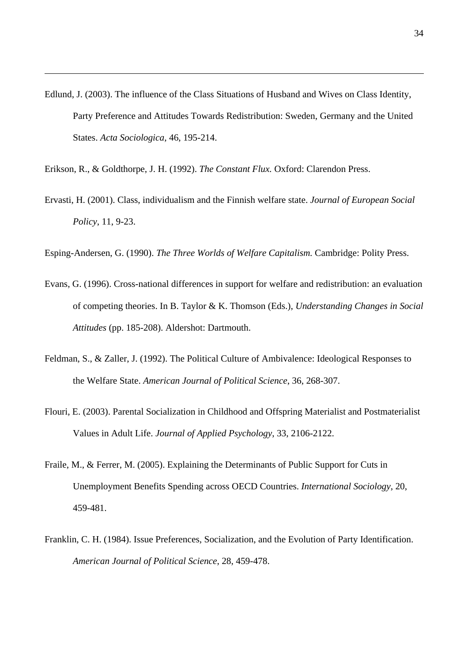- Edlund, J. (2003). The influence of the Class Situations of Husband and Wives on Class Identity, Party Preference and Attitudes Towards Redistribution: Sweden, Germany and the United States. *Acta Sociologica*, 46, 195-214.
- Erikson, R., & Goldthorpe, J. H. (1992). *The Constant Flux.* Oxford: Clarendon Press.

 $\overline{a}$ 

Ervasti, H. (2001). Class, individualism and the Finnish welfare state. *Journal of European Social Policy*, 11, 9-23.

Esping-Andersen, G. (1990). *The Three Worlds of Welfare Capitalism.* Cambridge: Polity Press.

- Evans, G. (1996). Cross-national differences in support for welfare and redistribution: an evaluation of competing theories. In B. Taylor & K. Thomson (Eds.), *Understanding Changes in Social Attitudes* (pp. 185-208). Aldershot: Dartmouth.
- Feldman, S., & Zaller, J. (1992). The Political Culture of Ambivalence: Ideological Responses to the Welfare State. *American Journal of Political Science*, 36, 268-307.
- Flouri, E. (2003). Parental Socialization in Childhood and Offspring Materialist and Postmaterialist Values in Adult Life. *Journal of Applied Psychology*, 33, 2106-2122.
- Fraile, M., & Ferrer, M. (2005). Explaining the Determinants of Public Support for Cuts in Unemployment Benefits Spending across OECD Countries. *International Sociology*, 20, 459-481.
- Franklin, C. H. (1984). Issue Preferences, Socialization, and the Evolution of Party Identification. *American Journal of Political Science*, 28, 459-478.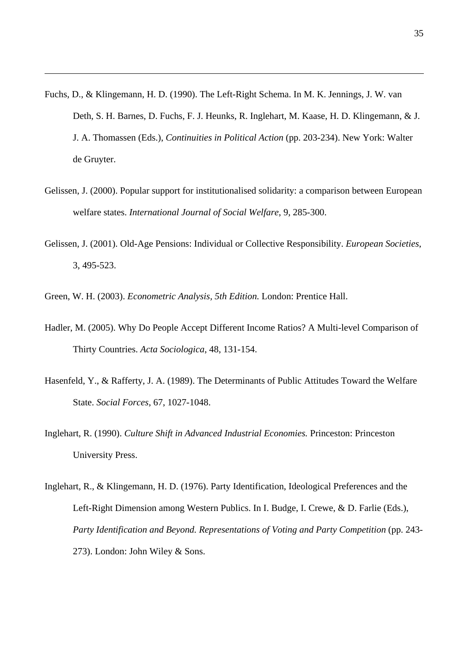- Fuchs, D., & Klingemann, H. D. (1990). The Left-Right Schema. In M. K. Jennings, J. W. van Deth, S. H. Barnes, D. Fuchs, F. J. Heunks, R. Inglehart, M. Kaase, H. D. Klingemann, & J. J. A. Thomassen (Eds.), *Continuities in Political Action* (pp. 203-234). New York: Walter de Gruyter.
- Gelissen, J. (2000). Popular support for institutionalised solidarity: a comparison between European welfare states. *International Journal of Social Welfare*, 9, 285-300.
- Gelissen, J. (2001). Old-Age Pensions: Individual or Collective Responsibility. *European Societies*, 3, 495-523.
- Green, W. H. (2003). *Econometric Analysis, 5th Edition.* London: Prentice Hall.

- Hadler, M. (2005). Why Do People Accept Different Income Ratios? A Multi-level Comparison of Thirty Countries. *Acta Sociologica*, 48, 131-154.
- Hasenfeld, Y., & Rafferty, J. A. (1989). The Determinants of Public Attitudes Toward the Welfare State. *Social Forces*, 67, 1027-1048.
- Inglehart, R. (1990). *Culture Shift in Advanced Industrial Economies.* Princeston: Princeston University Press.
- Inglehart, R., & Klingemann, H. D. (1976). Party Identification, Ideological Preferences and the Left-Right Dimension among Western Publics. In I. Budge, I. Crewe, & D. Farlie (Eds.), *Party Identification and Beyond. Representations of Voting and Party Competition* (pp. 243- 273). London: John Wiley & Sons.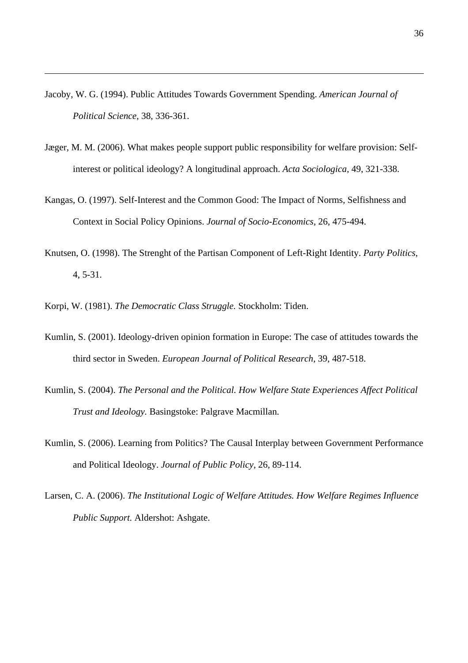- Jacoby, W. G. (1994). Public Attitudes Towards Government Spending. *American Journal of Political Science*, 38, 336-361.
- Jæger, M. M. (2006). What makes people support public responsibility for welfare provision: Selfinterest or political ideology? A longitudinal approach. *Acta Sociologica*, 49, 321-338.
- Kangas, O. (1997). Self-Interest and the Common Good: The Impact of Norms, Selfishness and Context in Social Policy Opinions. *Journal of Socio-Economics*, 26, 475-494.
- Knutsen, O. (1998). The Strenght of the Partisan Component of Left-Right Identity. *Party Politics*, 4, 5-31.
- Korpi, W. (1981). *The Democratic Class Struggle.* Stockholm: Tiden.

- Kumlin, S. (2001). Ideology-driven opinion formation in Europe: The case of attitudes towards the third sector in Sweden. *European Journal of Political Research*, 39, 487-518.
- Kumlin, S. (2004). *The Personal and the Political. How Welfare State Experiences Affect Political Trust and Ideology.* Basingstoke: Palgrave Macmillan.
- Kumlin, S. (2006). Learning from Politics? The Causal Interplay between Government Performance and Political Ideology. *Journal of Public Policy*, 26, 89-114.
- Larsen, C. A. (2006). *The Institutional Logic of Welfare Attitudes. How Welfare Regimes Influence Public Support.* Aldershot: Ashgate.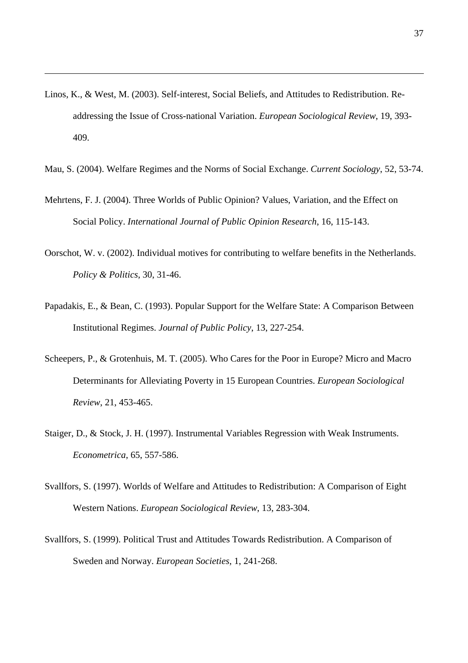Linos, K., & West, M. (2003). Self-interest, Social Beliefs, and Attitudes to Redistribution. Readdressing the Issue of Cross-national Variation. *European Sociological Review*, 19, 393- 409.

- Mau, S. (2004). Welfare Regimes and the Norms of Social Exchange. *Current Sociology*, 52, 53-74.
- Mehrtens, F. J. (2004). Three Worlds of Public Opinion? Values, Variation, and the Effect on Social Policy. *International Journal of Public Opinion Research*, 16, 115-143.
- Oorschot, W. v. (2002). Individual motives for contributing to welfare benefits in the Netherlands. *Policy & Politics*, 30, 31-46.
- Papadakis, E., & Bean, C. (1993). Popular Support for the Welfare State: A Comparison Between Institutional Regimes. *Journal of Public Policy*, 13, 227-254.
- Scheepers, P., & Grotenhuis, M. T. (2005). Who Cares for the Poor in Europe? Micro and Macro Determinants for Alleviating Poverty in 15 European Countries. *European Sociological Review*, 21, 453-465.
- Staiger, D., & Stock, J. H. (1997). Instrumental Variables Regression with Weak Instruments. *Econometrica*, 65, 557-586.
- Svallfors, S. (1997). Worlds of Welfare and Attitudes to Redistribution: A Comparison of Eight Western Nations. *European Sociological Review*, 13, 283-304.
- Svallfors, S. (1999). Political Trust and Attitudes Towards Redistribution. A Comparison of Sweden and Norway. *European Societies*, 1, 241-268.